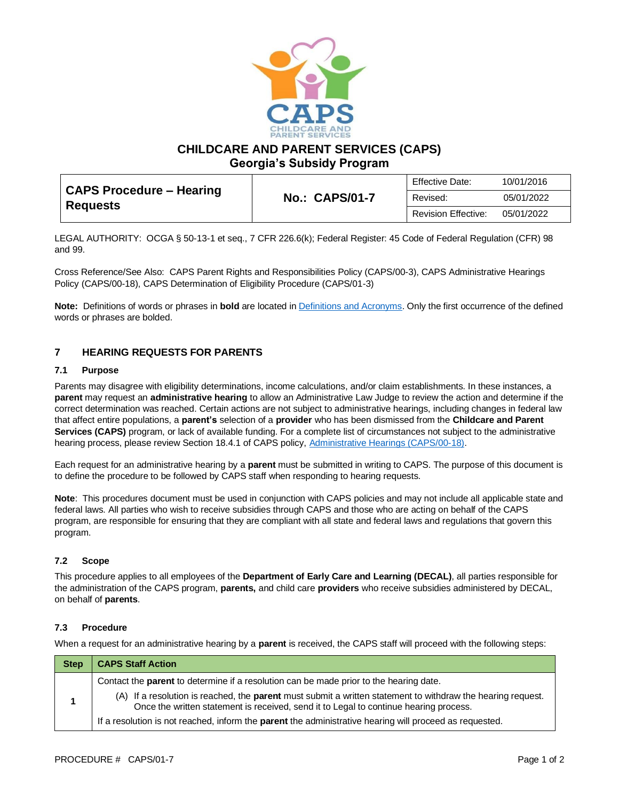

**CHILDCARE AND PARENT SERVICES (CAPS)**

**Georgia's Subsidy Program**

| <b>CAPS Procedure – Hearing</b> | <b>No.: CAPS/01-7</b> | <b>Effective Date:</b>     | 10/01/2016 |
|---------------------------------|-----------------------|----------------------------|------------|
| <b>Requests</b>                 |                       | Revised:                   | 05/01/2022 |
|                                 |                       | <b>Revision Effective:</b> | 05/01/2022 |

LEGAL AUTHORITY: OCGA § 50-13-1 et seq., 7 CFR 226.6(k); Federal Register: 45 Code of Federal Regulation (CFR) 98 and 99.

Cross Reference/See Also: CAPS Parent Rights and Responsibilities Policy (CAPS/00-3), CAPS Administrative Hearings Policy (CAPS/00-18), CAPS Determination of Eligibility Procedure (CAPS/01-3)

**Note:** Definitions of words or phrases in **bold** are located i[n Definitions and Acronyms.](https://caps.decal.ga.gov/assets/downloads/CAPS/02-CAPS_Policy-Definitions%20and%20Acronyms.pdf) Only the first occurrence of the defined words or phrases are bolded.

## **7 HEARING REQUESTS FOR PARENTS**

#### **7.1 Purpose**

Parents may disagree with eligibility determinations, income calculations, and/or claim establishments. In these instances, a **parent** may request an **administrative hearing** to allow an Administrative Law Judge to review the action and determine if the correct determination was reached. Certain actions are not subject to administrative hearings, including changes in federal law that affect entire populations, a **parent's** selection of a **provider** who has been dismissed from the **Childcare and Parent Services (CAPS)** program, or lack of available funding. For a complete list of circumstances not subject to the administrative hearing process, please review Section 18.4.1 of CAPS policy[, Administrative Hearings \(CAPS/00-18\).](https://caps.decal.ga.gov/assets/downloads/CAPS/18-CAPS_Policy-Administrative%20Hearings.pdf)

Each request for an administrative hearing by a **parent** must be submitted in writing to CAPS. The purpose of this document is to define the procedure to be followed by CAPS staff when responding to hearing requests.

**Note**: This procedures document must be used in conjunction with CAPS policies and may not include all applicable state and federal laws. All parties who wish to receive subsidies through CAPS and those who are acting on behalf of the CAPS program, are responsible for ensuring that they are compliant with all state and federal laws and regulations that govern this program.

### **7.2 Scope**

This procedure applies to all employees of the **Department of Early Care and Learning (DECAL)**, all parties responsible for the administration of the CAPS program, **parents,** and child care **providers** who receive subsidies administered by DECAL, on behalf of **parents**.

### **7.3 Procedure**

When a request for an administrative hearing by a **parent** is received, the CAPS staff will proceed with the following steps:

| <b>Step</b> | <b>CAPS Staff Action</b>                                                                                                                                                                                    |
|-------------|-------------------------------------------------------------------------------------------------------------------------------------------------------------------------------------------------------------|
|             | Contact the <b>parent</b> to determine if a resolution can be made prior to the hearing date.                                                                                                               |
|             | (A) If a resolution is reached, the <b>parent</b> must submit a written statement to withdraw the hearing request.<br>Once the written statement is received, send it to Legal to continue hearing process. |
|             | If a resolution is not reached, inform the parent the administrative hearing will proceed as requested.                                                                                                     |